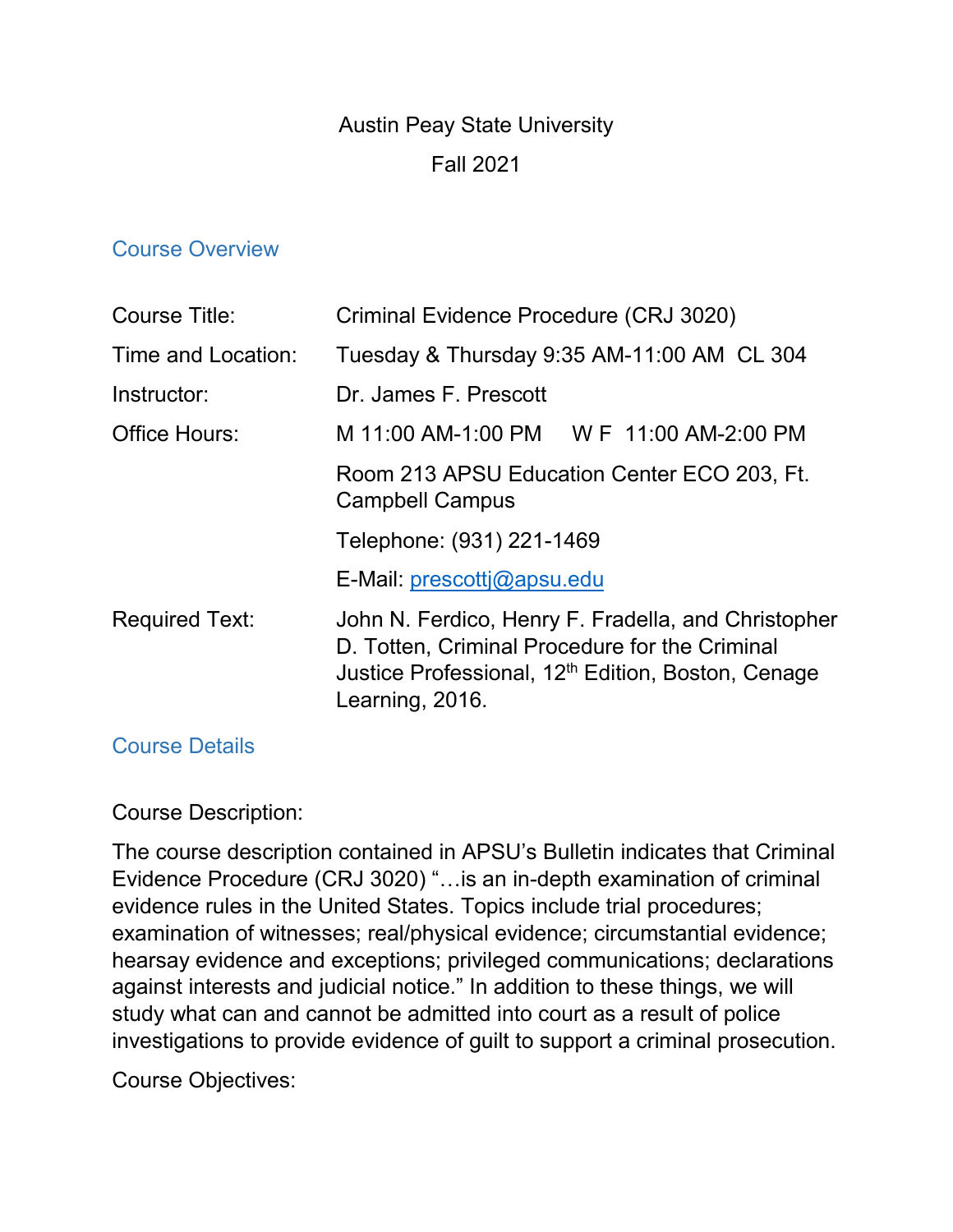# Austin Peay State University Fall 2021

#### Course Overview

| Course Title:         | Criminal Evidence Procedure (CRJ 3020)                                                                                                                                                     |
|-----------------------|--------------------------------------------------------------------------------------------------------------------------------------------------------------------------------------------|
| Time and Location:    | Tuesday & Thursday 9:35 AM-11:00 AM CL 304                                                                                                                                                 |
| Instructor:           | Dr. James F. Prescott                                                                                                                                                                      |
| Office Hours:         | M 11:00 AM-1:00 PM W F 11:00 AM-2:00 PM                                                                                                                                                    |
|                       | Room 213 APSU Education Center ECO 203, Ft.<br><b>Campbell Campus</b>                                                                                                                      |
|                       | Telephone: (931) 221-1469                                                                                                                                                                  |
|                       | E-Mail: prescottj@apsu.edu                                                                                                                                                                 |
| <b>Required Text:</b> | John N. Ferdico, Henry F. Fradella, and Christopher<br>D. Totten, Criminal Procedure for the Criminal<br>Justice Professional, 12 <sup>th</sup> Edition, Boston, Cenage<br>Learning, 2016. |

#### Course Details

#### Course Description:

The course description contained in APSU's Bulletin indicates that Criminal Evidence Procedure (CRJ 3020) "…is an in-depth examination of criminal evidence rules in the United States. Topics include trial procedures; examination of witnesses; real/physical evidence; circumstantial evidence; hearsay evidence and exceptions; privileged communications; declarations against interests and judicial notice." In addition to these things, we will study what can and cannot be admitted into court as a result of police investigations to provide evidence of guilt to support a criminal prosecution.

Course Objectives: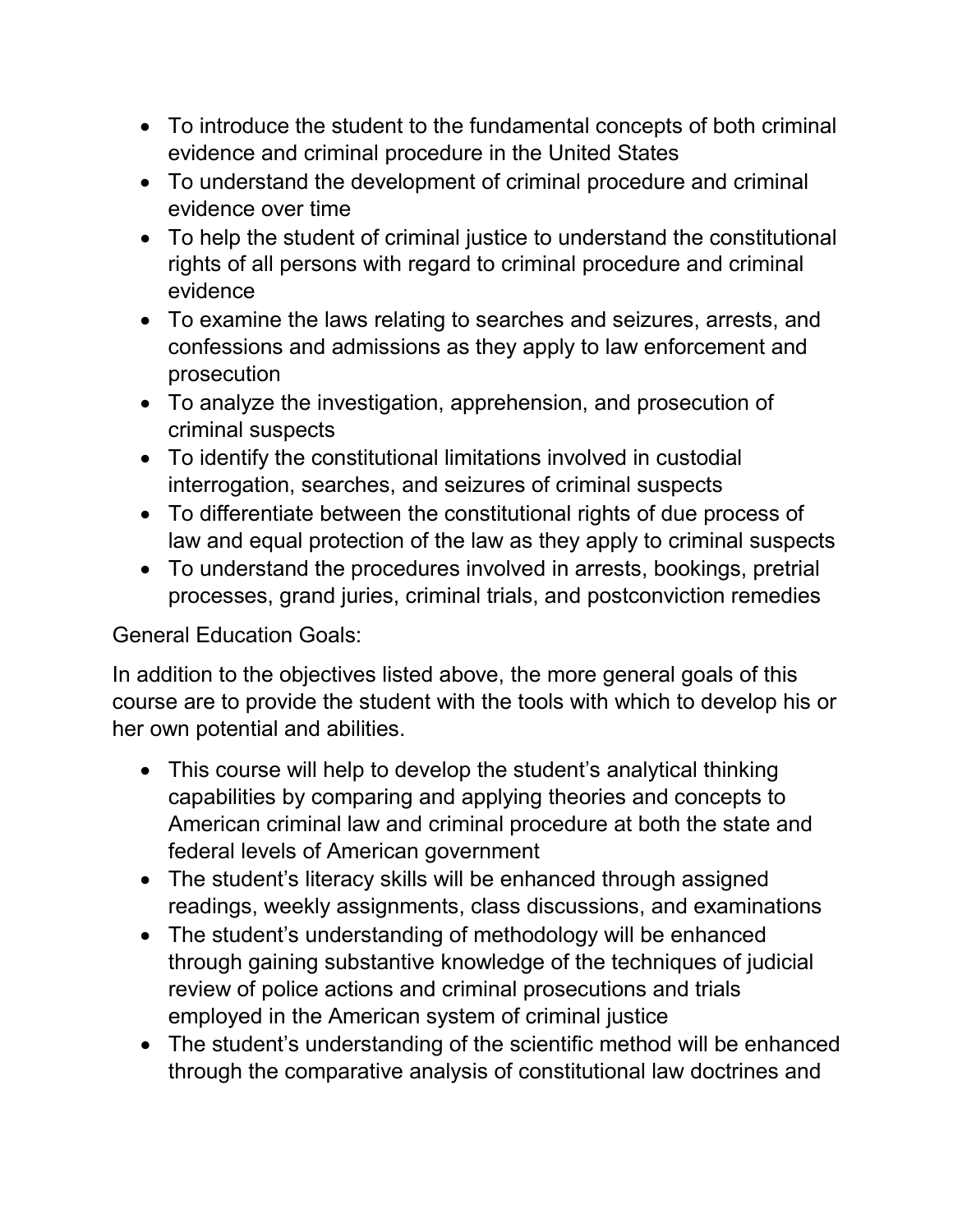- To introduce the student to the fundamental concepts of both criminal evidence and criminal procedure in the United States
- To understand the development of criminal procedure and criminal evidence over time
- To help the student of criminal justice to understand the constitutional rights of all persons with regard to criminal procedure and criminal evidence
- To examine the laws relating to searches and seizures, arrests, and confessions and admissions as they apply to law enforcement and prosecution
- To analyze the investigation, apprehension, and prosecution of criminal suspects
- To identify the constitutional limitations involved in custodial interrogation, searches, and seizures of criminal suspects
- To differentiate between the constitutional rights of due process of law and equal protection of the law as they apply to criminal suspects
- To understand the procedures involved in arrests, bookings, pretrial processes, grand juries, criminal trials, and postconviction remedies

General Education Goals:

In addition to the objectives listed above, the more general goals of this course are to provide the student with the tools with which to develop his or her own potential and abilities.

- This course will help to develop the student's analytical thinking capabilities by comparing and applying theories and concepts to American criminal law and criminal procedure at both the state and federal levels of American government
- The student's literacy skills will be enhanced through assigned readings, weekly assignments, class discussions, and examinations
- The student's understanding of methodology will be enhanced through gaining substantive knowledge of the techniques of judicial review of police actions and criminal prosecutions and trials employed in the American system of criminal justice
- The student's understanding of the scientific method will be enhanced through the comparative analysis of constitutional law doctrines and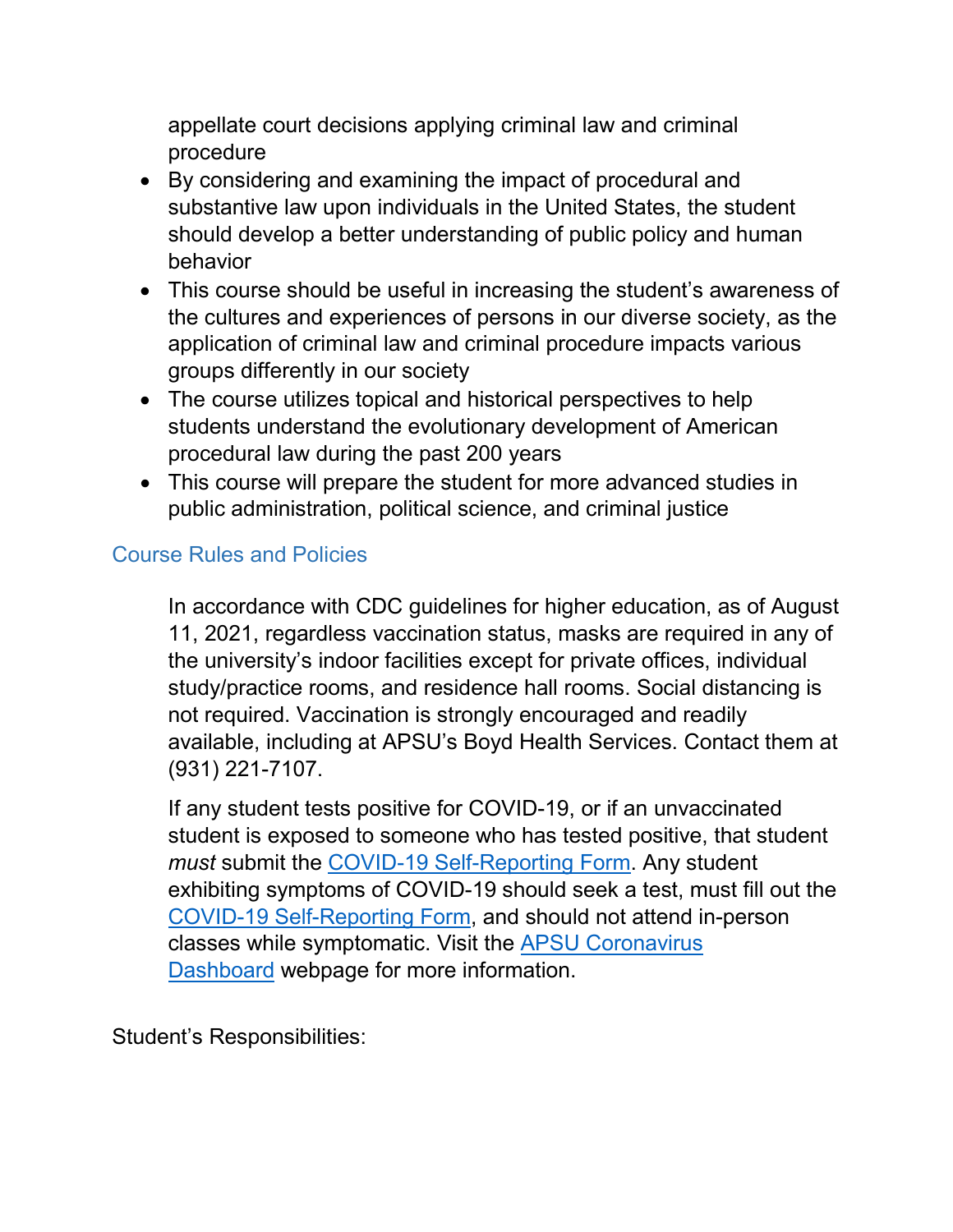appellate court decisions applying criminal law and criminal procedure

- By considering and examining the impact of procedural and substantive law upon individuals in the United States, the student should develop a better understanding of public policy and human behavior
- This course should be useful in increasing the student's awareness of the cultures and experiences of persons in our diverse society, as the application of criminal law and criminal procedure impacts various groups differently in our society
- The course utilizes topical and historical perspectives to help students understand the evolutionary development of American procedural law during the past 200 years
- This course will prepare the student for more advanced studies in public administration, political science, and criminal justice

# Course Rules and Policies

In accordance with CDC guidelines for higher education, as of August 11, 2021, regardless vaccination status, masks are required in any of the university's indoor facilities except for private offices, individual study/practice rooms, and residence hall rooms. Social distancing is not required. Vaccination is strongly encouraged and readily available, including at APSU's Boyd Health Services. Contact them at (931) 221-7107.

If any student tests positive for COVID-19, or if an unvaccinated student is exposed to someone who has tested positive, that student *must* submit the [COVID-19 Self-Reporting Form.](https://cm.maxient.com/reportingform.php?AustinPeayStateUniv&layout_id=19) Any student exhibiting symptoms of COVID-19 should seek a test, must fill out the [COVID-19 Self-Reporting Form,](https://cm.maxient.com/reportingform.php?AustinPeayStateUniv&layout_id=19) and should not attend in-person classes while symptomatic. Visit the [APSU Coronavirus](https://apsu.edu/coronavirus/index.php)  [Dashboard](https://apsu.edu/coronavirus/index.php) webpage for more information.

Student's Responsibilities: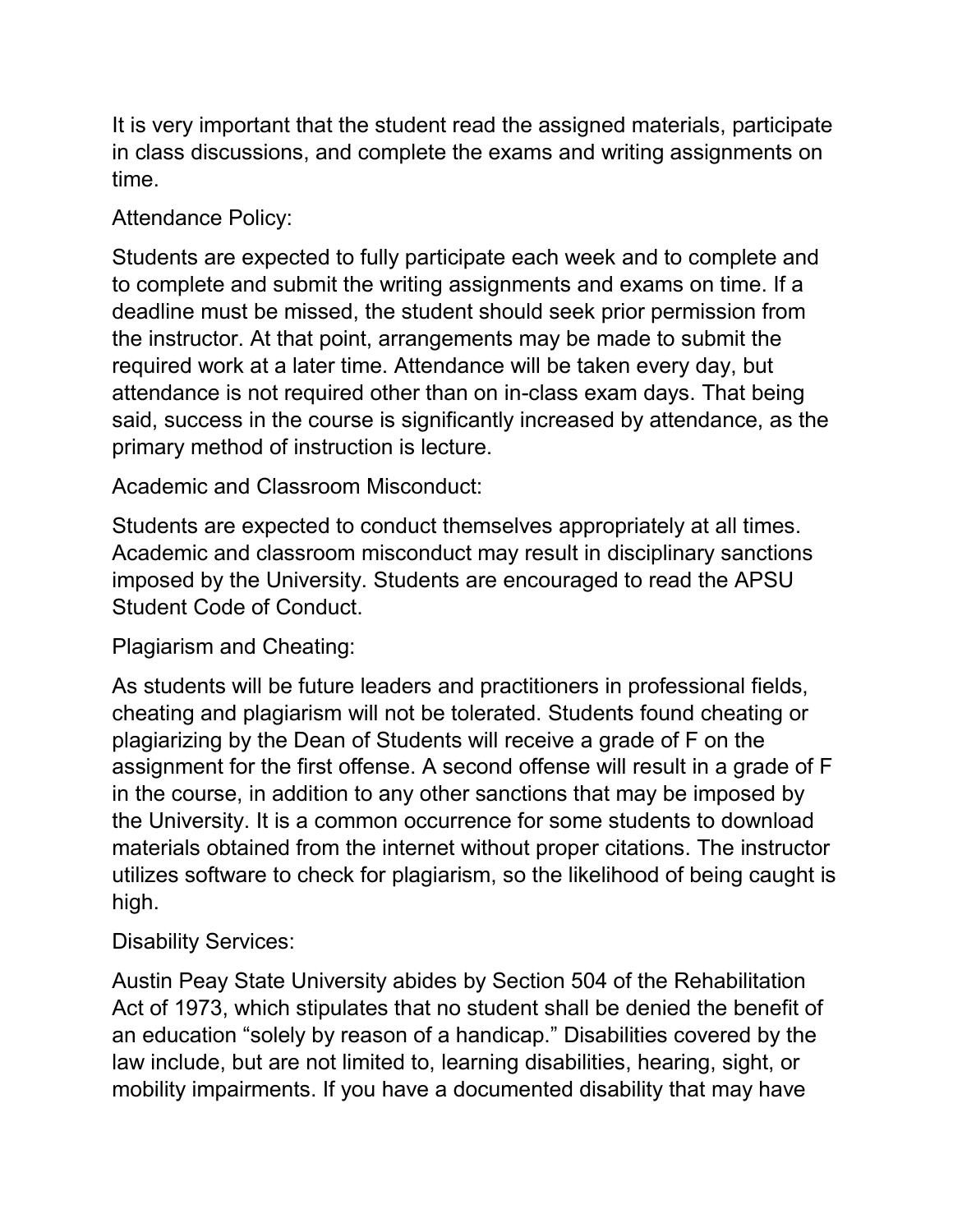It is very important that the student read the assigned materials, participate in class discussions, and complete the exams and writing assignments on time.

Attendance Policy:

Students are expected to fully participate each week and to complete and to complete and submit the writing assignments and exams on time. If a deadline must be missed, the student should seek prior permission from the instructor. At that point, arrangements may be made to submit the required work at a later time. Attendance will be taken every day, but attendance is not required other than on in-class exam days. That being said, success in the course is significantly increased by attendance, as the primary method of instruction is lecture.

Academic and Classroom Misconduct:

Students are expected to conduct themselves appropriately at all times. Academic and classroom misconduct may result in disciplinary sanctions imposed by the University. Students are encouraged to read the APSU Student Code of Conduct.

Plagiarism and Cheating:

As students will be future leaders and practitioners in professional fields, cheating and plagiarism will not be tolerated. Students found cheating or plagiarizing by the Dean of Students will receive a grade of F on the assignment for the first offense. A second offense will result in a grade of F in the course, in addition to any other sanctions that may be imposed by the University. It is a common occurrence for some students to download materials obtained from the internet without proper citations. The instructor utilizes software to check for plagiarism, so the likelihood of being caught is high.

Disability Services:

Austin Peay State University abides by Section 504 of the Rehabilitation Act of 1973, which stipulates that no student shall be denied the benefit of an education "solely by reason of a handicap." Disabilities covered by the law include, but are not limited to, learning disabilities, hearing, sight, or mobility impairments. If you have a documented disability that may have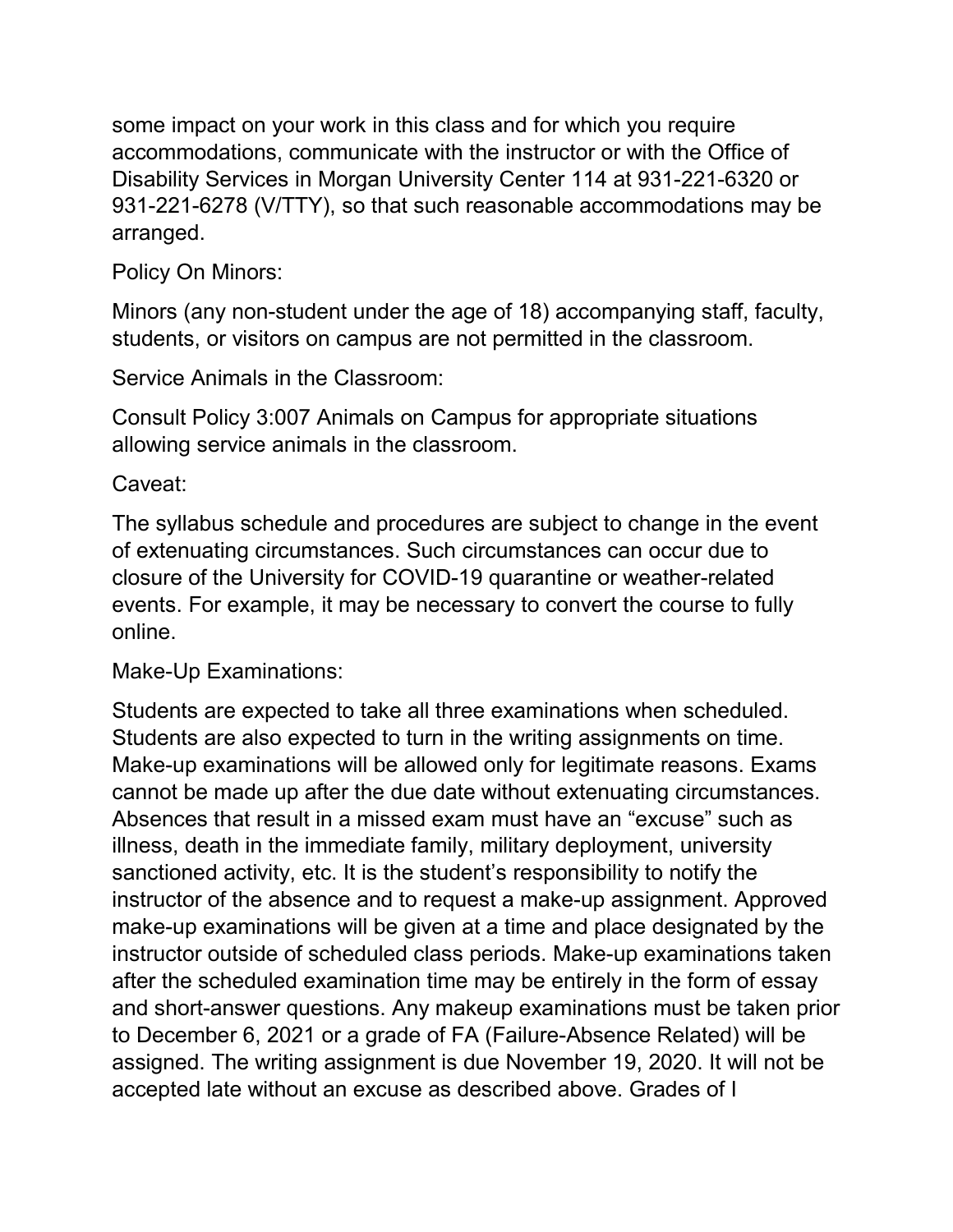some impact on your work in this class and for which you require accommodations, communicate with the instructor or with the Office of Disability Services in Morgan University Center 114 at 931-221-6320 or 931-221-6278 (V/TTY), so that such reasonable accommodations may be arranged.

### Policy On Minors:

Minors (any non-student under the age of 18) accompanying staff, faculty, students, or visitors on campus are not permitted in the classroom.

Service Animals in the Classroom:

Consult Policy 3:007 Animals on Campus for appropriate situations allowing service animals in the classroom.

### Caveat:

The syllabus schedule and procedures are subject to change in the event of extenuating circumstances. Such circumstances can occur due to closure of the University for COVID-19 quarantine or weather-related events. For example, it may be necessary to convert the course to fully online.

Make-Up Examinations:

Students are expected to take all three examinations when scheduled. Students are also expected to turn in the writing assignments on time. Make-up examinations will be allowed only for legitimate reasons. Exams cannot be made up after the due date without extenuating circumstances. Absences that result in a missed exam must have an "excuse" such as illness, death in the immediate family, military deployment, university sanctioned activity, etc. It is the student's responsibility to notify the instructor of the absence and to request a make-up assignment. Approved make-up examinations will be given at a time and place designated by the instructor outside of scheduled class periods. Make-up examinations taken after the scheduled examination time may be entirely in the form of essay and short-answer questions. Any makeup examinations must be taken prior to December 6, 2021 or a grade of FA (Failure-Absence Related) will be assigned. The writing assignment is due November 19, 2020. It will not be accepted late without an excuse as described above. Grades of I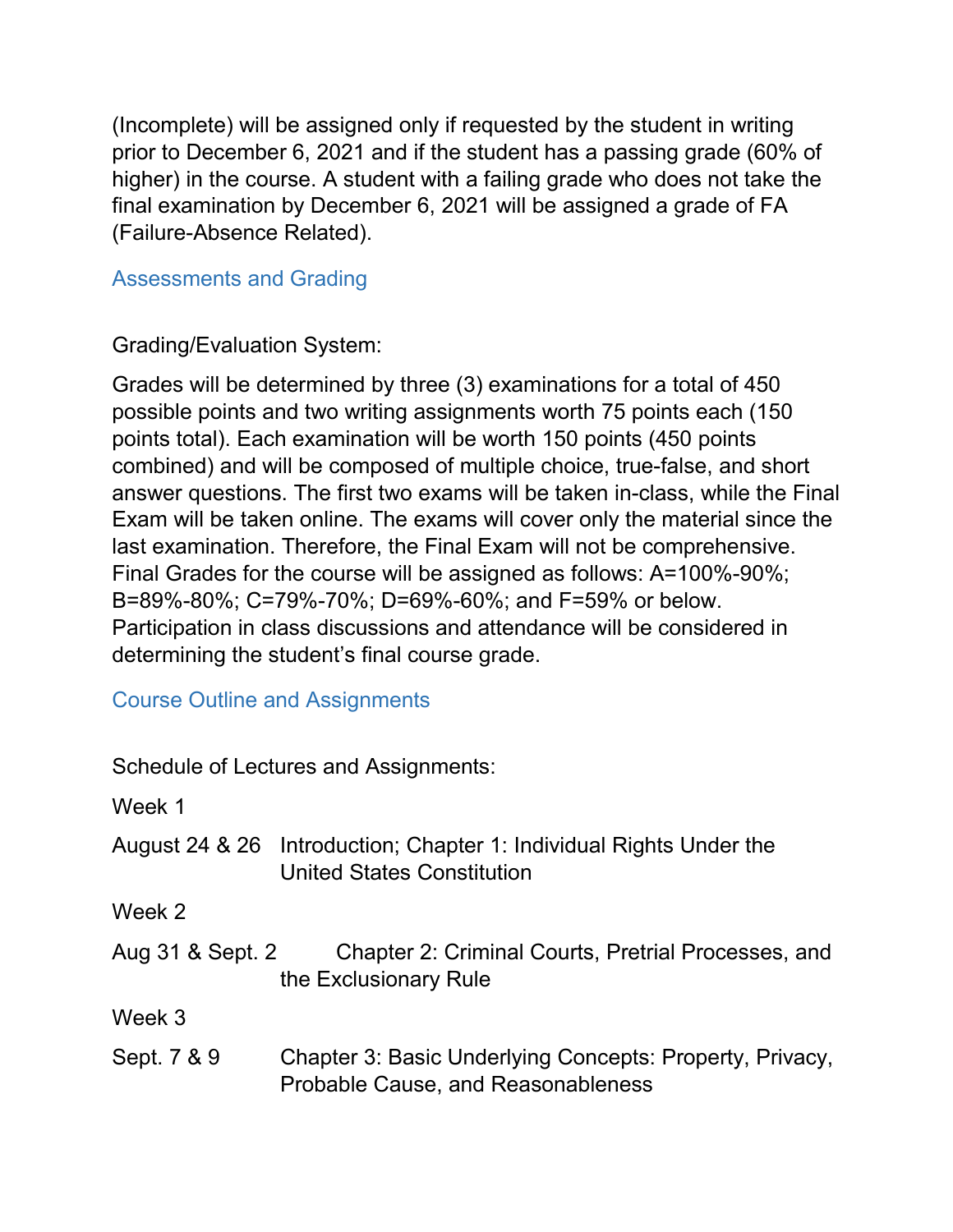(Incomplete) will be assigned only if requested by the student in writing prior to December 6, 2021 and if the student has a passing grade (60% of higher) in the course. A student with a failing grade who does not take the final examination by December 6, 2021 will be assigned a grade of FA (Failure-Absence Related).

Assessments and Grading

### Grading/Evaluation System:

Grades will be determined by three (3) examinations for a total of 450 possible points and two writing assignments worth 75 points each (150 points total). Each examination will be worth 150 points (450 points combined) and will be composed of multiple choice, true-false, and short answer questions. The first two exams will be taken in-class, while the Final Exam will be taken online. The exams will cover only the material since the last examination. Therefore, the Final Exam will not be comprehensive. Final Grades for the course will be assigned as follows: A=100%-90%; B=89%-80%; C=79%-70%; D=69%-60%; and F=59% or below. Participation in class discussions and attendance will be considered in determining the student's final course grade.

# Course Outline and Assignments

Schedule of Lectures and Assignments:

Week 1

| August 24 & 26 Introduction; Chapter 1: Individual Rights Under the |
|---------------------------------------------------------------------|
| United States Constitution                                          |

Week 2

| Aug 31 & Sept. 2 | Chapter 2: Criminal Courts, Pretrial Processes, and |
|------------------|-----------------------------------------------------|
|                  | the Exclusionary Rule                               |

Week 3

Sept. 7 & 9 Chapter 3: Basic Underlying Concepts: Property, Privacy, Probable Cause, and Reasonableness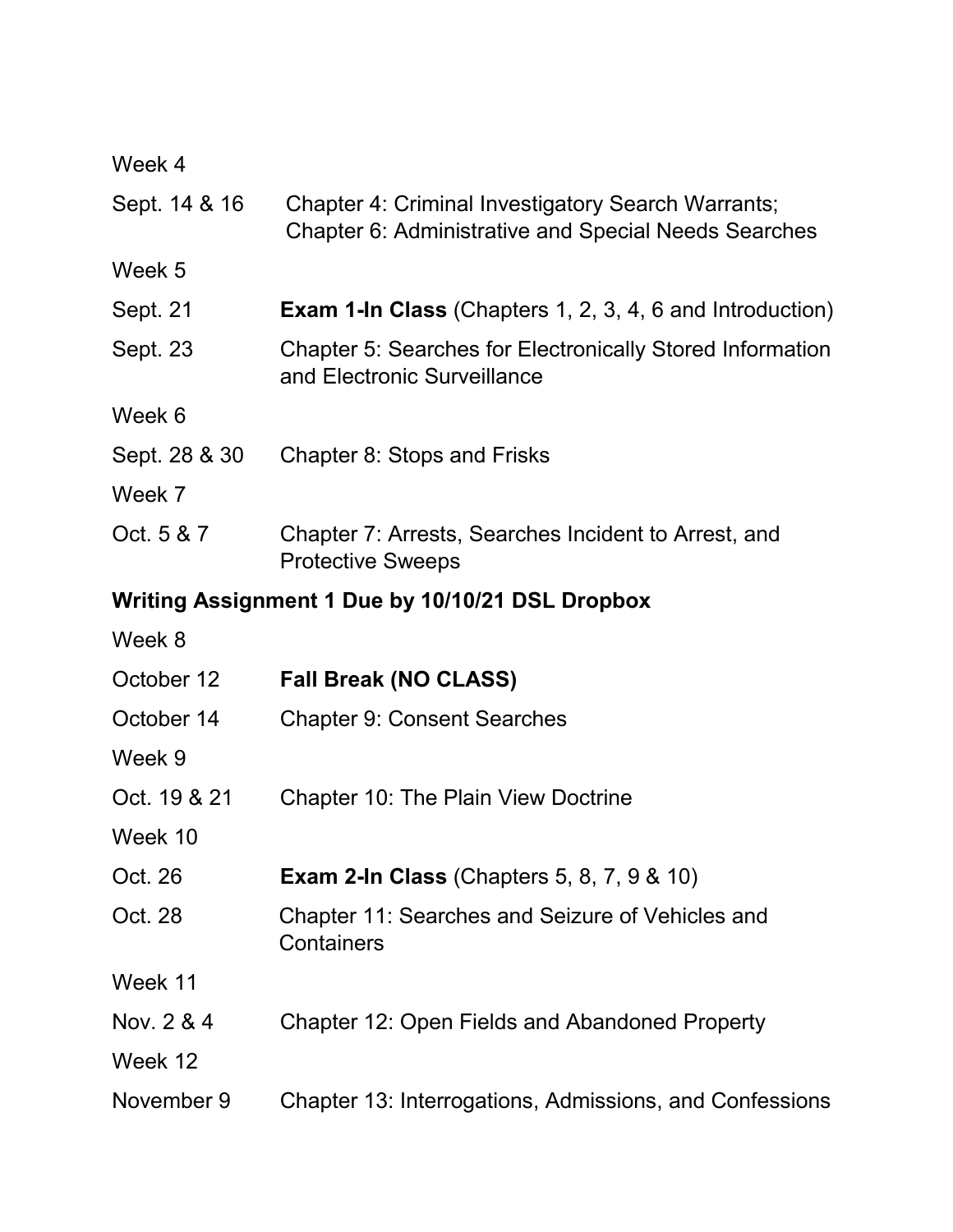| Week 4                                           |                                                                                                            |  |
|--------------------------------------------------|------------------------------------------------------------------------------------------------------------|--|
| Sept. 14 & 16                                    | Chapter 4: Criminal Investigatory Search Warrants;<br>Chapter 6: Administrative and Special Needs Searches |  |
| Week 5                                           |                                                                                                            |  |
| Sept. 21                                         | <b>Exam 1-In Class</b> (Chapters 1, 2, 3, 4, 6 and Introduction)                                           |  |
| Sept. 23                                         | <b>Chapter 5: Searches for Electronically Stored Information</b><br>and Electronic Surveillance            |  |
| Week 6                                           |                                                                                                            |  |
| Sept. 28 & 30                                    | Chapter 8: Stops and Frisks                                                                                |  |
| Week 7                                           |                                                                                                            |  |
| Oct. 5 & 7                                       | Chapter 7: Arrests, Searches Incident to Arrest, and<br><b>Protective Sweeps</b>                           |  |
| Writing Assignment 1 Due by 10/10/21 DSL Dropbox |                                                                                                            |  |
| Week 8                                           |                                                                                                            |  |
| October 12                                       | <b>Fall Break (NO CLASS)</b>                                                                               |  |
| October 14                                       | <b>Chapter 9: Consent Searches</b>                                                                         |  |
| Week 9                                           |                                                                                                            |  |
| Oct. 19 & 21                                     | <b>Chapter 10: The Plain View Doctrine</b>                                                                 |  |
| Week 10                                          |                                                                                                            |  |
| Oct. 26                                          | <b>Exam 2-In Class (Chapters 5, 8, 7, 9 &amp; 10)</b>                                                      |  |
| Oct. 28                                          | Chapter 11: Searches and Seizure of Vehicles and<br>Containers                                             |  |
| Week 11                                          |                                                                                                            |  |
| Nov. 2 & 4                                       | Chapter 12: Open Fields and Abandoned Property                                                             |  |
| Week 12                                          |                                                                                                            |  |
| November 9                                       | Chapter 13: Interrogations, Admissions, and Confessions                                                    |  |